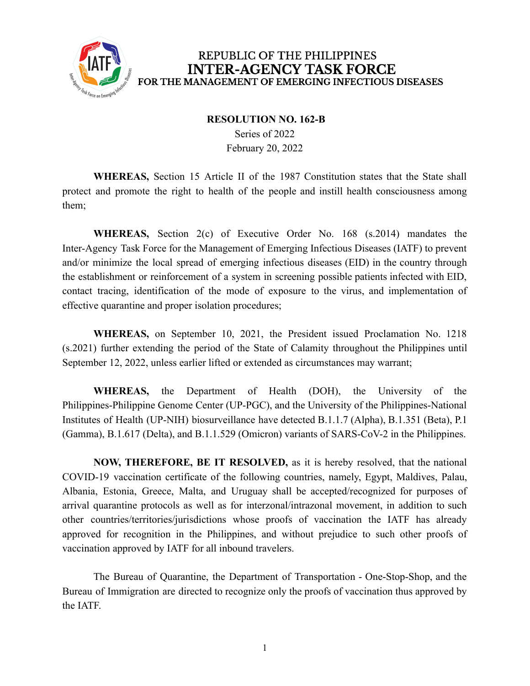

## REPUBLIC OF THE PHILIPPINES **INTER-AGENCY TASK FORCE** FOR THE MANAGEMENT OF EMERGING INFECTIOUS DISEASES

## **RESOLUTION NO. 162-B**

Series of 2022 February 20, 2022

**WHEREAS,** Section 15 Article II of the 1987 Constitution states that the State shall protect and promote the right to health of the people and instill health consciousness among them;

**WHEREAS,** Section 2(c) of Executive Order No. 168 (s.2014) mandates the Inter-Agency Task Force for the Management of Emerging Infectious Diseases (IATF) to prevent and/or minimize the local spread of emerging infectious diseases (EID) in the country through the establishment or reinforcement of a system in screening possible patients infected with EID, contact tracing, identification of the mode of exposure to the virus, and implementation of effective quarantine and proper isolation procedures;

**WHEREAS,** on September 10, 2021, the President issued Proclamation No. 1218 (s.2021) further extending the period of the State of Calamity throughout the Philippines until September 12, 2022, unless earlier lifted or extended as circumstances may warrant;

**WHEREAS,** the Department of Health (DOH), the University of the Philippines-Philippine Genome Center (UP-PGC), and the University of the Philippines-National Institutes of Health (UP-NIH) biosurveillance have detected B.1.1.7 (Alpha), B.1.351 (Beta), P.1 (Gamma), B.1.617 (Delta), and B.1.1.529 (Omicron) variants of SARS-CoV-2 in the Philippines.

**NOW, THEREFORE, BE IT RESOLVED,** as it is hereby resolved, that the national COVID-19 vaccination certificate of the following countries, namely, Egypt, Maldives, Palau, Albania, Estonia, Greece, Malta, and Uruguay shall be accepted/recognized for purposes of arrival quarantine protocols as well as for interzonal/intrazonal movement, in addition to such other countries/territories/jurisdictions whose proofs of vaccination the IATF has already approved for recognition in the Philippines, and without prejudice to such other proofs of vaccination approved by IATF for all inbound travelers.

The Bureau of Quarantine, the Department of Transportation - One-Stop-Shop, and the Bureau of Immigration are directed to recognize only the proofs of vaccination thus approved by the IATF.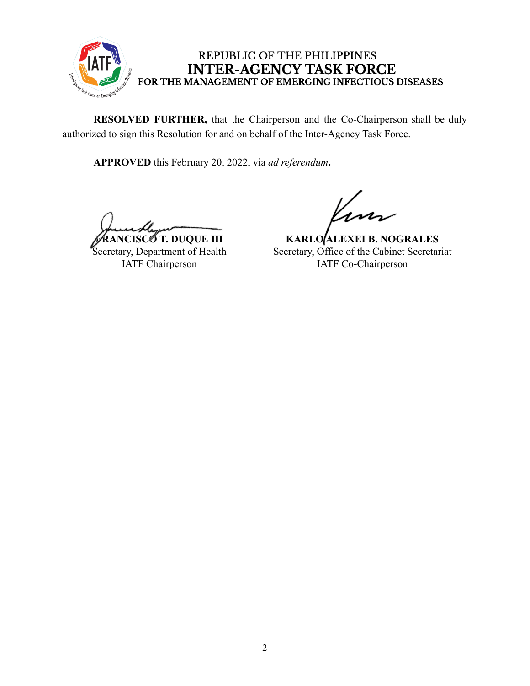

## REPUBLIC OF THE PHILIPPINES **INTER-AGENCY TASK FORCE** FOR THE MANAGEMENT OF EMERGING INFECTIOUS DISEASES

**RESOLVED FURTHER,** that the Chairperson and the Co-Chairperson shall be duly authorized to sign this Resolution for and on behalf of the Inter-Agency Task Force.

**APPROVED** this February 20, 2022, via *ad referendum***.**

**NCISCO T. DUQUE III** Secretary, Department of Health IATF Chairperson

**KARLO ALEXEI B. NOGRALES** Secretary, Office of the Cabinet Secretariat IATF Co-Chairperson